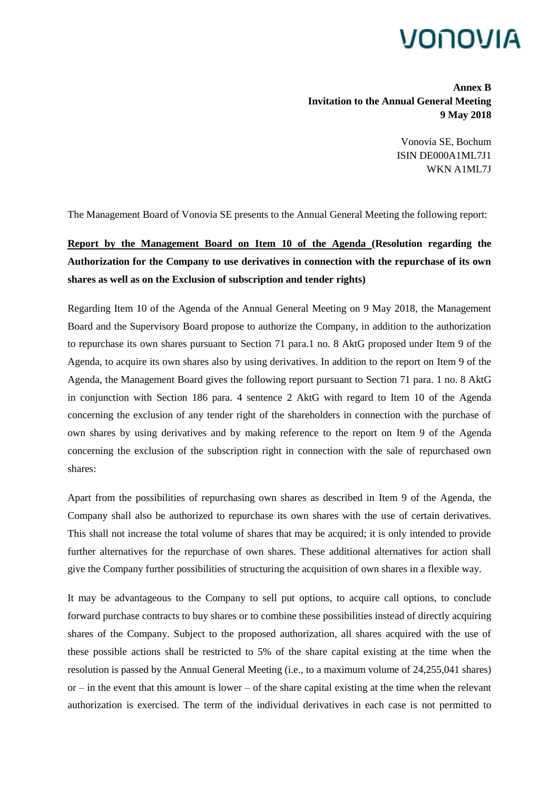## VONOVIA

**Annex B Invitation to the Annual General Meeting 9 May 2018**

> Vonovia SE, Bochum ISIN DE000A1ML7J1 WKN A1ML7J

The Management Board of Vonovia SE presents to the Annual General Meeting the following report:

## **Report by the Management Board on Item 10 of the Agenda (Resolution regarding the Authorization for the Company to use derivatives in connection with the repurchase of its own shares as well as on the Exclusion of subscription and tender rights)**

Regarding Item 10 of the Agenda of the Annual General Meeting on 9 May 2018, the Management Board and the Supervisory Board propose to authorize the Company, in addition to the authorization to repurchase its own shares pursuant to Section 71 para.1 no. 8 AktG proposed under Item 9 of the Agenda, to acquire its own shares also by using derivatives. In addition to the report on Item 9 of the Agenda, the Management Board gives the following report pursuant to Section 71 para. 1 no. 8 AktG in conjunction with Section 186 para. 4 sentence 2 AktG with regard to Item 10 of the Agenda concerning the exclusion of any tender right of the shareholders in connection with the purchase of own shares by using derivatives and by making reference to the report on Item 9 of the Agenda concerning the exclusion of the subscription right in connection with the sale of repurchased own shares:

Apart from the possibilities of repurchasing own shares as described in Item 9 of the Agenda, the Company shall also be authorized to repurchase its own shares with the use of certain derivatives. This shall not increase the total volume of shares that may be acquired; it is only intended to provide further alternatives for the repurchase of own shares. These additional alternatives for action shall give the Company further possibilities of structuring the acquisition of own shares in a flexible way.

It may be advantageous to the Company to sell put options, to acquire call options, to conclude forward purchase contracts to buy shares or to combine these possibilities instead of directly acquiring shares of the Company. Subject to the proposed authorization, all shares acquired with the use of these possible actions shall be restricted to 5% of the share capital existing at the time when the resolution is passed by the Annual General Meeting (i.e., to a maximum volume of 24,255,041 shares) or – in the event that this amount is lower – of the share capital existing at the time when the relevant authorization is exercised. The term of the individual derivatives in each case is not permitted to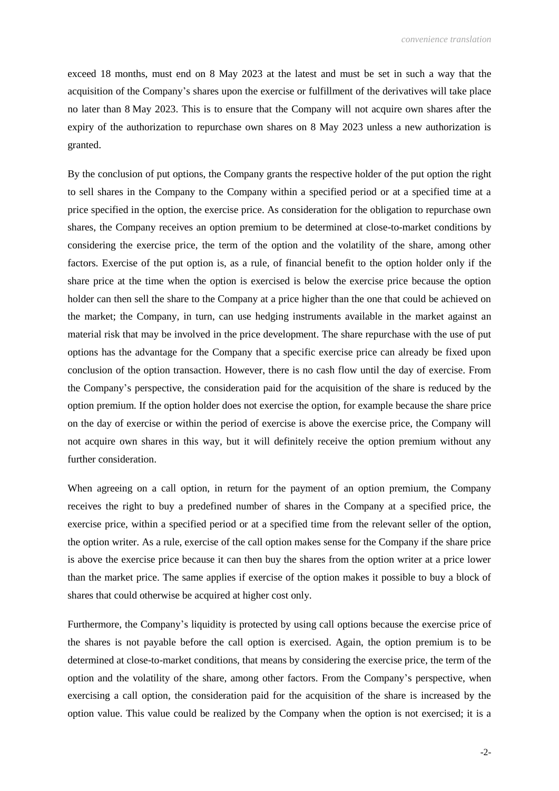exceed 18 months, must end on 8 May 2023 at the latest and must be set in such a way that the acquisition of the Company's shares upon the exercise or fulfillment of the derivatives will take place no later than 8 May 2023. This is to ensure that the Company will not acquire own shares after the expiry of the authorization to repurchase own shares on 8 May 2023 unless a new authorization is granted.

By the conclusion of put options, the Company grants the respective holder of the put option the right to sell shares in the Company to the Company within a specified period or at a specified time at a price specified in the option, the exercise price. As consideration for the obligation to repurchase own shares, the Company receives an option premium to be determined at close-to-market conditions by considering the exercise price, the term of the option and the volatility of the share, among other factors. Exercise of the put option is, as a rule, of financial benefit to the option holder only if the share price at the time when the option is exercised is below the exercise price because the option holder can then sell the share to the Company at a price higher than the one that could be achieved on the market; the Company, in turn, can use hedging instruments available in the market against an material risk that may be involved in the price development. The share repurchase with the use of put options has the advantage for the Company that a specific exercise price can already be fixed upon conclusion of the option transaction. However, there is no cash flow until the day of exercise. From the Company's perspective, the consideration paid for the acquisition of the share is reduced by the option premium. If the option holder does not exercise the option, for example because the share price on the day of exercise or within the period of exercise is above the exercise price, the Company will not acquire own shares in this way, but it will definitely receive the option premium without any further consideration.

When agreeing on a call option, in return for the payment of an option premium, the Company receives the right to buy a predefined number of shares in the Company at a specified price, the exercise price, within a specified period or at a specified time from the relevant seller of the option, the option writer. As a rule, exercise of the call option makes sense for the Company if the share price is above the exercise price because it can then buy the shares from the option writer at a price lower than the market price. The same applies if exercise of the option makes it possible to buy a block of shares that could otherwise be acquired at higher cost only.

Furthermore, the Company's liquidity is protected by using call options because the exercise price of the shares is not payable before the call option is exercised. Again, the option premium is to be determined at close-to-market conditions, that means by considering the exercise price, the term of the option and the volatility of the share, among other factors. From the Company's perspective, when exercising a call option, the consideration paid for the acquisition of the share is increased by the option value. This value could be realized by the Company when the option is not exercised; it is a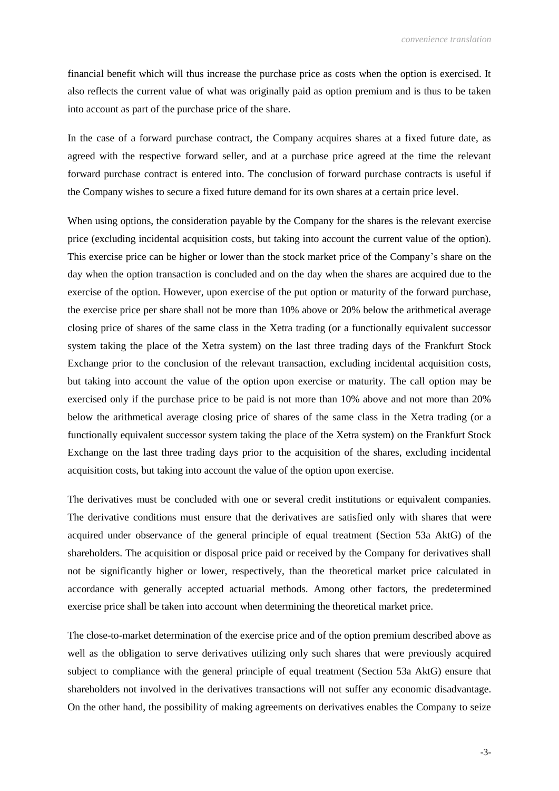financial benefit which will thus increase the purchase price as costs when the option is exercised. It also reflects the current value of what was originally paid as option premium and is thus to be taken into account as part of the purchase price of the share.

In the case of a forward purchase contract, the Company acquires shares at a fixed future date, as agreed with the respective forward seller, and at a purchase price agreed at the time the relevant forward purchase contract is entered into. The conclusion of forward purchase contracts is useful if the Company wishes to secure a fixed future demand for its own shares at a certain price level.

When using options, the consideration payable by the Company for the shares is the relevant exercise price (excluding incidental acquisition costs, but taking into account the current value of the option). This exercise price can be higher or lower than the stock market price of the Company's share on the day when the option transaction is concluded and on the day when the shares are acquired due to the exercise of the option. However, upon exercise of the put option or maturity of the forward purchase, the exercise price per share shall not be more than 10% above or 20% below the arithmetical average closing price of shares of the same class in the Xetra trading (or a functionally equivalent successor system taking the place of the Xetra system) on the last three trading days of the Frankfurt Stock Exchange prior to the conclusion of the relevant transaction, excluding incidental acquisition costs, but taking into account the value of the option upon exercise or maturity. The call option may be exercised only if the purchase price to be paid is not more than 10% above and not more than 20% below the arithmetical average closing price of shares of the same class in the Xetra trading (or a functionally equivalent successor system taking the place of the Xetra system) on the Frankfurt Stock Exchange on the last three trading days prior to the acquisition of the shares, excluding incidental acquisition costs, but taking into account the value of the option upon exercise.

The derivatives must be concluded with one or several credit institutions or equivalent companies. The derivative conditions must ensure that the derivatives are satisfied only with shares that were acquired under observance of the general principle of equal treatment (Section 53a AktG) of the shareholders. The acquisition or disposal price paid or received by the Company for derivatives shall not be significantly higher or lower, respectively, than the theoretical market price calculated in accordance with generally accepted actuarial methods. Among other factors, the predetermined exercise price shall be taken into account when determining the theoretical market price.

The close-to-market determination of the exercise price and of the option premium described above as well as the obligation to serve derivatives utilizing only such shares that were previously acquired subject to compliance with the general principle of equal treatment (Section 53a AktG) ensure that shareholders not involved in the derivatives transactions will not suffer any economic disadvantage. On the other hand, the possibility of making agreements on derivatives enables the Company to seize